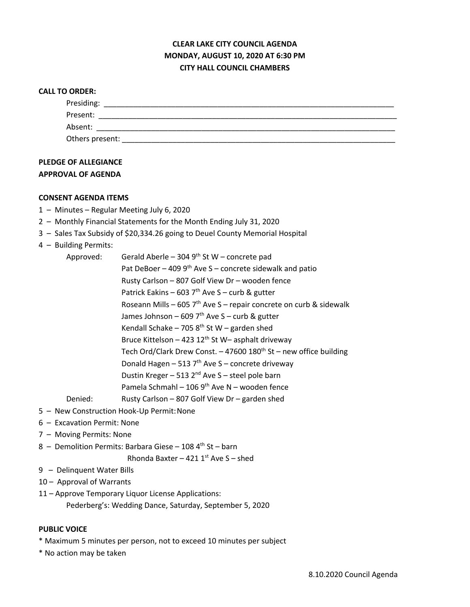# **CLEAR LAKE CITY COUNCIL AGENDA MONDAY, AUGUST 10, 2020 AT 6:30 PM CITY HALL COUNCIL CHAMBERS**

#### **CALL TO ORDER:**

| Presiding:      |  |  |
|-----------------|--|--|
| Present:        |  |  |
| Absent:         |  |  |
| Others present: |  |  |

## **PLEDGE OF ALLEGIANCE APPROVAL OF AGENDA**

### **CONSENT AGENDA ITEMS**

- 1 Minutes Regular Meeting July 6, 2020
- 2 Monthly Financial Statements for the Month Ending July 31, 2020
- 3 Sales Tax Subsidy of \$20,334.26 going to Deuel County Memorial Hospital
- 4 Building Permits:

| Approved: | Gerald Aberle - 304 $9th$ St W - concrete pad                                 |
|-----------|-------------------------------------------------------------------------------|
|           | Pat DeBoer - 409 $9th$ Ave S - concrete sidewalk and patio                    |
|           | Rusty Carlson - 807 Golf View Dr - wooden fence                               |
|           | Patrick Eakins - 603 $7th$ Ave S - curb & gutter                              |
|           | Roseann Mills - 605 $7th$ Ave S - repair concrete on curb & sidewalk          |
|           | James Johnson – 609 7 <sup>th</sup> Ave S – curb & gutter                     |
|           | Kendall Schake - 705 $8th$ St W - garden shed                                 |
|           | Bruce Kittelson - 423 $12^{th}$ St W- asphalt driveway                        |
|           | Tech Ord/Clark Drew Const. - 47600 180 <sup>th</sup> St - new office building |
|           | Donald Hagen - 513 $7th$ Ave S - concrete driveway                            |
|           | Dustin Kreger - 513 2 <sup>nd</sup> Ave S - steel pole barn                   |
|           | Pamela Schmahl - 106 $9th$ Ave N - wooden fence                               |
| Denied:   | Rusty Carlson - 807 Golf View Dr - garden shed                                |

- 5 New Construction Hook-Up Permit:None
- 6 Excavation Permit: None
- 7 Moving Permits: None
- 8 Demolition Permits: Barbara Giese 108  $4<sup>th</sup>$  St barn

Rhonda Baxter – 421  $1<sup>st</sup>$  Ave S – shed

- 9 Delinquent Water Bills
- 10 Approval of Warrants
- 11 Approve Temporary Liquor License Applications:
	- Pederberg's: Wedding Dance, Saturday, September 5, 2020

### **PUBLIC VOICE**

- \* Maximum 5 minutes per person, not to exceed 10 minutes per subject
- \* No action may be taken